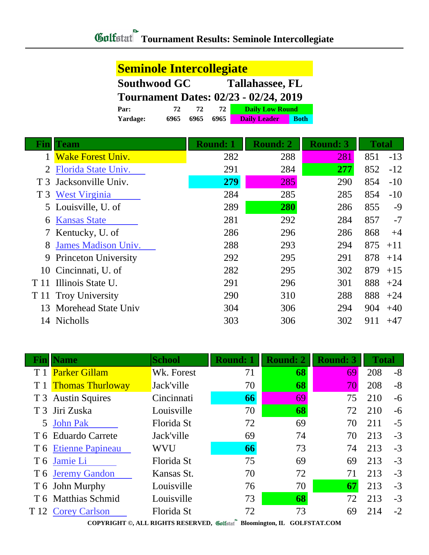| <b>Seminole Intercollegiate</b>               |      |      |      |                                    |  |  |
|-----------------------------------------------|------|------|------|------------------------------------|--|--|
| <b>Southwood GC</b><br><b>Tallahassee, FL</b> |      |      |      |                                    |  |  |
| <b>Tournament Dates: 02/23 - 02/24, 2019</b>  |      |      |      |                                    |  |  |
| Par:                                          | 72   | 72   | 72   | <b>Daily Low Round</b>             |  |  |
| <b>Yardage:</b>                               | 6965 | 6965 | 6965 | <b>Daily Leader</b><br><b>Both</b> |  |  |

| <b>Fin</b> ll  | Team                        | <b>Round: 1</b> | <b>Round: 2</b> | <b>Round: 3</b> | <b>Total</b> |       |
|----------------|-----------------------------|-----------------|-----------------|-----------------|--------------|-------|
|                | <b>Wake Forest Univ.</b>    | 282             | 288             | 281             | 851          | $-13$ |
| $\overline{2}$ | Florida State Univ.         | 291             | 284             | 277             | 852          | $-12$ |
|                | T 3 Jacksonville Univ.      | 279             | 285             | 290             | 854          | $-10$ |
| T3             | <b>West Virginia</b>        | 284             | 285             | 285             | 854          | $-10$ |
|                | 5 Louisville, U. of         | 289             | 280             | 286             | 855          | $-9$  |
| 6              | <b>Kansas State</b>         | 281             | 292             | 284             | 857          | $-7$  |
|                | 7 Kentucky, U. of           | 286             | 296             | 286             | 868          | $+4$  |
| 8              | <b>James Madison Univ.</b>  | 288             | 293             | 294             | 875          | $+11$ |
| 9              | <b>Princeton University</b> | 292             | 295             | 291             | 878          | $+14$ |
| 10             | Cincinnati, U. of           | 282             | 295             | 302             | 879          | $+15$ |
| T 11           | Illinois State U.           | 291             | 296             | 301             | 888          | $+24$ |
|                | T 11 Troy University        | 290             | 310             | 288             | 888          | $+24$ |
| 13             | Morehead State Univ         | 304             | 306             | 294             | 904          | $+40$ |
| 14             | Nicholls                    | 303             | 306             | 302             | 911          | $+47$ |

| Fınll | <b>Name</b>             | <b>School</b> | <b>Round: 1</b> | Round: 2 | <b>Round: 3</b> | <b>Total</b> |      |
|-------|-------------------------|---------------|-----------------|----------|-----------------|--------------|------|
|       | <b>Parker Gillam</b>    | Wk. Forest    | 71              | 68       | 69              | 208          | $-8$ |
|       | <b>Thomas Thurloway</b> | Jack'ville    | 70              | 68       | 70              | 208          | $-8$ |
|       | T 3 Austin Squires      | Cincinnati    | 66              | 69       | 75              | 210          | $-6$ |
|       | T 3 Jiri Zuska          | Louisville    | 70              | 68       | 72              | 210          | $-6$ |
| 5     | <b>John Pak</b>         | Florida St    | 72              | 69       | 70              | 211          | $-5$ |
|       | T 6 Eduardo Carrete     | Jack'ville    | 69              | 74       | 70              | 213          | $-3$ |
|       | T 6 Etienne Papineau    | <b>WVU</b>    | 66              | 73       | 74              | 213          | $-3$ |
|       | T 6 Jamie Li            | Florida St    | 75              | 69       | 69              | 213          | $-3$ |
|       | T 6 Jeremy Gandon       | Kansas St.    | 70              | 72       | 71              | 213          | $-3$ |
|       | T 6 John Murphy         | Louisville    | 76              | 70       | 67              | 213          | $-3$ |
|       | T 6 Matthias Schmid     | Louisville    | 73              | 68       | 72              | 213          | $-3$ |
| T 12  | <b>Corey Carlson</b>    | Florida St    | 72              | 73       | 69              | 214          | $-2$ |

**COPYRIGHT ©, ALL RIGHTS RESERVED, Bloomington, IL GOLFSTAT.COM**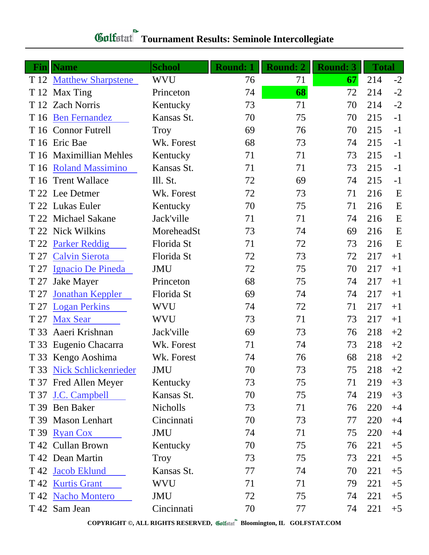| Gulfstat Tournament Results: Seminole Intercollegiate |
|-------------------------------------------------------|

| Fin  | <b>Name</b>               | <b>School</b> | <b>Round: 1</b> | <b>Round: 2</b> | <b>Round: 3</b> | <b>Total</b> |      |
|------|---------------------------|---------------|-----------------|-----------------|-----------------|--------------|------|
|      | T 12 Matthew Sharpstene   | <b>WVU</b>    | 76              | 71              | 67              | 214          | $-2$ |
|      | T 12 Max Ting             | Princeton     | 74              | 68              | 72              | 214          | $-2$ |
|      | T 12 Zach Norris          | Kentucky      | 73              | 71              | 70              | 214          | $-2$ |
| T 16 | <b>Ben Fernandez</b>      | Kansas St.    | 70              | 75              | 70              | 215          | $-1$ |
|      | T 16 Connor Futrell       | <b>Troy</b>   | 69              | 76              | 70              | 215          | $-1$ |
|      | T 16 Eric Bae             | Wk. Forest    | 68              | 73              | 74              | 215          | $-1$ |
|      | T 16 Maximillian Mehles   | Kentucky      | 71              | 71              | 73              | 215          | $-1$ |
| T 16 | <b>Roland Massimino</b>   | Kansas St.    | 71              | 71              | 73              | 215          | $-1$ |
|      | T 16 Trent Wallace        | Ill. St.      | 72              | 69              | 74              | 215          | $-1$ |
|      | T 22 Lee Detmer           | Wk. Forest    | 72              | 73              | 71              | 216          | E    |
|      | T 22 Lukas Euler          | Kentucky      | 70              | 75              | 71              | 216          | E    |
|      | T 22 Michael Sakane       | Jack'ville    | 71              | 71              | 74              | 216          | E    |
|      | T 22 Nick Wilkins         | MoreheadSt    | 73              | 74              | 69              | 216          | E    |
| T 22 | <b>Parker Reddig</b>      | Florida St    | 71              | 72              | 73              | 216          | E    |
| T 27 | <b>Calvin Sierota</b>     | Florida St    | 72              | 73              | 72              | 217          | $+1$ |
| T 27 | Ignacio De Pineda         | <b>JMU</b>    | 72              | 75              | 70              | 217          | $+1$ |
| T 27 | <b>Jake Mayer</b>         | Princeton     | 68              | 75              | 74              | 217          | $+1$ |
| T 27 | <b>Jonathan Keppler</b>   | Florida St    | 69              | 74              | 74              | 217          | $+1$ |
| T 27 | <b>Logan Perkins</b>      | WVU           | 74              | 72              | 71              | 217          | $+1$ |
| T 27 | <b>Max Sear</b>           | <b>WVU</b>    | 73              | 71              | 73              | 217          | $+1$ |
| T 33 | Aaeri Krishnan            | Jack'ville    | 69              | 73              | 76              | 218          | $+2$ |
| T 33 | Eugenio Chacarra          | Wk. Forest    | 71              | 74              | 73              | 218          | $+2$ |
|      | T 33 Kengo Aoshima        | Wk. Forest    | 74              | 76              | 68              | 218          | $+2$ |
|      | T 33 Nick Schlickenrieder | JMU           | 70              | 73              | 75              | 218          | $+2$ |
|      | T 37 Fred Allen Meyer     | Kentucky      | 73              | 75              | 71              | 219          | $+3$ |
|      | T 37 J.C. Campbell        | Kansas St.    | 70              | 75              | 74              | 219          | $+3$ |
| T 39 | <b>Ben Baker</b>          | Nicholls      | 73              | 71              | 76              | 220          | $+4$ |
|      | T 39 Mason Lenhart        | Cincinnati    | 70              | 73              | 77              | 220          | $+4$ |
| T 39 | <b>Ryan Cox</b>           | JMU           | 74              | 71              | 75              | 220          | $+4$ |
|      | T 42 Cullan Brown         | Kentucky      | 70              | 75              | 76              | 221          | $+5$ |
|      | T 42 Dean Martin          | <b>Troy</b>   | 73              | 75              | 73              | 221          | $+5$ |
|      | T 42 Jacob Eklund         | Kansas St.    | 77              | 74              | 70              | 221          | $+5$ |
| T 42 | <b>Kurtis Grant</b>       | WVU           | 71              | 71              | 79              | 221          | $+5$ |
|      | T 42 Nacho Montero        | JMU           | 72              | 75              | 74              | 221          | $+5$ |
|      | T 42 Sam Jean             | Cincinnati    | 70              | 77              | 74              | 221          | $+5$ |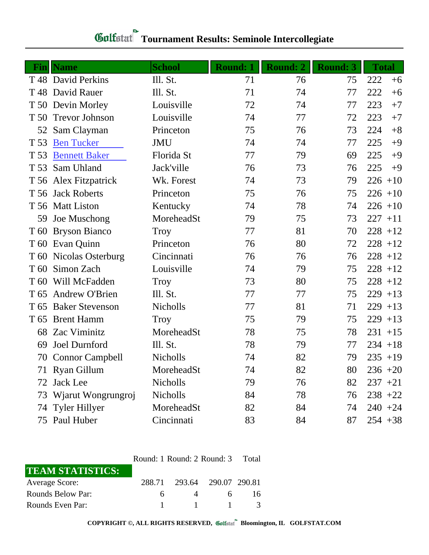|                 | <b>Fin</b>   Name      | <b>School</b>   | <b>Round: 1</b> | <b>Round: 2</b> | <b>Round: 3</b> | <b>Total</b> |
|-----------------|------------------------|-----------------|-----------------|-----------------|-----------------|--------------|
|                 | T 48 David Perkins     | Ill. St.        | 71              | 76              | 75              | 222<br>$+6$  |
|                 | T 48 David Rauer       | Ill. St.        | 71              | 74              | 77              | 222<br>$+6$  |
|                 | T 50 Devin Morley      | Louisville      | 72              | 74              | 77              | 223<br>$+7$  |
| T 50            | <b>Trevor Johnson</b>  | Louisville      | 74              | 77              | 72              | 223<br>$+7$  |
| 52              | Sam Clayman            | Princeton       | 75              | 76              | 73              | 224<br>$+8$  |
| T 53            | <b>Ben Tucker</b>      | <b>JMU</b>      | 74              | 74              | 77              | 225<br>$+9$  |
| T 53            | <b>Bennett Baker</b>   | Florida St      | 77              | 79              | 69              | 225<br>$+9$  |
| T 53            | Sam Uhland             | Jack'ville      | 76              | 73              | 76              | 225<br>$+9$  |
|                 | T 56 Alex Fitzpatrick  | Wk. Forest      | 74              | 73              | 79              | $226 + 10$   |
|                 | T 56 Jack Roberts      | Princeton       | 75              | 76              | 75              | $226 + 10$   |
|                 | T 56 Matt Liston       | Kentucky        | 74              | 78              | 74              | $226 + 10$   |
| 59              | Joe Muschong           | MoreheadSt      | 79              | 75              | 73              | $227 + 11$   |
|                 | T 60 Bryson Bianco     | Troy            | 77              | 81              | 70              | $228 + 12$   |
|                 | T 60 Evan Quinn        | Princeton       | 76              | 80              | 72              | $228 + 12$   |
|                 | T 60 Nicolas Osterburg | Cincinnati      | 76              | 76              | 76              | $228 + 12$   |
| T 60            | Simon Zach             | Louisville      | 74              | 79              | 75              | $228 + 12$   |
| T 60            | Will McFadden          | Troy            | 73              | 80              | 75              | $228 + 12$   |
| T <sub>65</sub> | <b>Andrew O'Brien</b>  | Ill. St.        | 77              | 77              | 75              | $229 + 13$   |
| T <sub>65</sub> | <b>Baker Stevenson</b> | Nicholls        | 77              | 81              | 71              | $229 + 13$   |
| T <sub>65</sub> | <b>Brent Hamm</b>      | <b>Troy</b>     | 75              | 79              | 75              | $229 + 13$   |
| 68              | Zac Viminitz           | MoreheadSt      | 78              | 75              | 78              | $231 + 15$   |
| 69              | Joel Durnford          | Ill. St.        | 78              | 79              | 77              | $234 + 18$   |
| 70              | <b>Connor Campbell</b> | <b>Nicholls</b> | 74              | 82              | 79              | $235 + 19$   |
|                 | 71 Ryan Gillum         | MoreheadSt      | 74              | 82              | 80              | $236 + 20$   |
|                 | 72 Jack Lee            | Nicholls        | 79              | 76              | 82              | $237 + 21$   |
|                 | 73 Wjarut Wongrungroj  | Nicholls        | 84              | 78              | 76              | $238 +22$    |
|                 | 74 Tyler Hillyer       | MoreheadSt      | 82              | 84              | 74              | $240 + 24$   |
|                 | 75 Paul Huber          | Cincinnati      | 83              | 84              | 87              | $254 + 38$   |

## **Tournament Results: Seminole Intercollegiate**

|                          | Round: 1 Round: 2 Round: 3 Total |                      |              |     |
|--------------------------|----------------------------------|----------------------|--------------|-----|
| <b>TEAM STATISTICS:</b>  |                                  |                      |              |     |
| <b>Average Score:</b>    | 288.71                           | 293.64 290.07 290.81 |              |     |
| <b>Rounds Below Par:</b> | 6                                |                      | 6.           | 16. |
| Rounds Even Par:         |                                  | $\sim$ 1.0 $\sim$    | $\mathbf{1}$ |     |